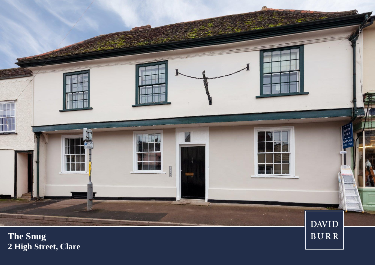

**2 High Street, Clare**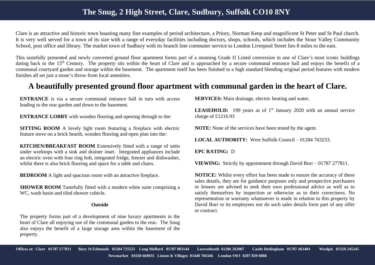## **The Snug, 2 High Street, Clare, Sudbury, Suffolk CO10 8NY**

Clare is an attractive and historic town boasting many fine examples of period architecture, a Priory, Norman Keep and magnificent St Peter and St Paul church. It is very well served for a town of its size with a range of everyday facilities including doctors, shops, schools, which includes the Stour Valley Community School, post office and library. The market town of Sudbury with its branch line commuter service to London Liverpool Street lies 8 miles to the east.

This tastefully presented and newly converted ground floor apartment forms part of a stunning Grade II Listed conversion in one of Clare's most iconic buildings dating back to the 15<sup>th</sup> Century. The property sits within the heart of Clare and is approached by a secure communal entrance hall and enjoys the benefit of a communal courtyard garden and storage within the basement. The apartment itself has been finished to a high standard blending original period features with modern finishes all set just a stone's throw from local amenities.

## **A beautifully presented ground floor apartment with communal garden in the heart of Clare.**

**ENTRANCE** is via a secure communal entrance hall in turn with access leading to the rear garden and down to the basement.

**ENTRANCE LOBBY** with wooden flooring and opening through to the:

**SITTING ROOM** A lovely light room featuring a fireplace with electric feature stove on a brick hearth, wooden flooring and open plan into the:

**KITCHEN/BREAKFAST ROOM** Extensively fitted with a range of units under worktops with a sink and drainer inset. Integrated appliances include an electric oven with four ring hob, integrated fridge, freezer and dishwasher, whilst there is also brick flooring and space for a table and chairs.

**BEDROOM** A light and spacious room with an attractive fireplace.

**SHOWER ROOM** Tastefully fitted with a modern white suite comprising a WC, wash basin and tiled shower cubicle.

## **Outside**

The property forms part of a development of nine luxury apartments in the heart of Clare all enjoying use of the communal garden to the rear. The Snug also enjoys the benefit of a large storage area within the basement of the property.

**SERVICES:** Main drainage, electric heating and water.

**LEASEHOLD:** 199 years as of 1<sup>st</sup> January 2020 with an annual service charge of £1216.93

**NOTE:** None of the services have been tested by the agent.

**LOCAL AUTHORITY:** West Suffolk Council – 01284 763233.

**EPC RATING:** D

**VIEWING:** Strictly by appointment through David Burr – 01787 277811.

**NOTICE:** Whilst every effort has been made to ensure the accuracy of these sales details, they are for guidance purposes only and prospective purchasers or lessees are advised to seek their own professional advice as well as to satisfy themselves by inspection or otherwise as to their correctness. No representation or warranty whatsoever is made in relation to this property by David Burr or its employees nor do such sales details form part of any offer or contract.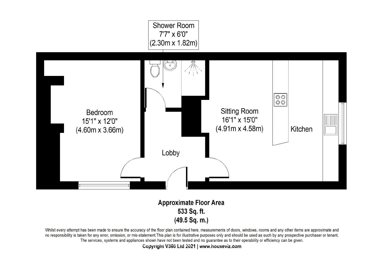

## **Approximate Floor Area** 533 Sq. ft.  $(49.5 Sq. m.)$

Whilst every attempt has been made to ensure the accuracy of the floor plan contained here, measurements of doors, windows, rooms and any other items are approximate and no responsibility is taken for any error, omission, or mis-statement. This plan is for illustrative purposes only and should be used as such by any prospective purchaser or tenant. The services, systems and appliances shown have not been tested and no guarantee as to their operability or efficiency can be given.

**Copyright V360 Ltd 2021 | www.houseviz.com**